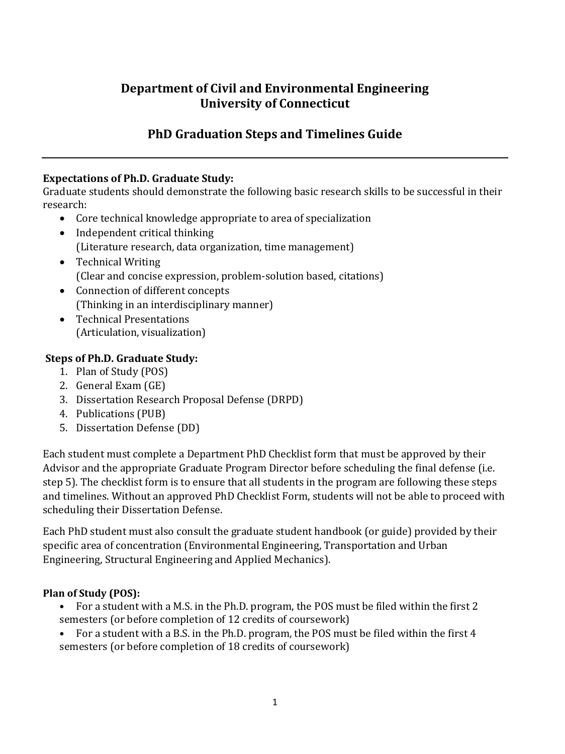# **Department of Civil and Environmental Engineering University of Connecticut**

# **PhD Graduation Steps and Timelines Guide**

### **Expectations of Ph.D. Graduate Study:**

Graduate students should demonstrate the following basic research skills to be successful in their research:

- Core technical knowledge appropriate to area of specialization
- Independent critical thinking (Literature research, data organization, time management)
- Technical Writing (Clear and concise expression, problem-solution based, citations)
- Connection of different concepts (Thinking in an interdisciplinary manner)
- Technical Presentations (Articulation, visualization)

## **Steps of Ph.D. Graduate Study:**

- 1. Plan of Study (POS)
- 2. General Exam (GE)
- 3. Dissertation Research Proposal Defense (DRPD)
- 4. Publications (PUB)
- 5. Dissertation Defense (DD)

Each student must complete a Department PhD Checklist form that must be approved by their Advisor and the appropriate Graduate Program Director before scheduling the final defense (i.e. step 5). The checklist form is to ensure that all students in the program are following these steps and timelines. Without an approved PhD Checklist Form, students will not be able to proceed with scheduling their Dissertation Defense.

Each PhD student must also consult the graduate student handbook (or guide) provided by their specific area of concentration (Environmental Engineering, Transportation and Urban Engineering, Structural Engineering and Applied Mechanics).

### **Plan of Study (POS):**

- For a student with a M.S. in the Ph.D. program, the POS must be filed within the first 2 semesters (or before completion of 12 credits of coursework)
- For a student with a B.S. in the Ph.D. program, the POS must be filed within the first 4 semesters (or before completion of 18 credits of coursework)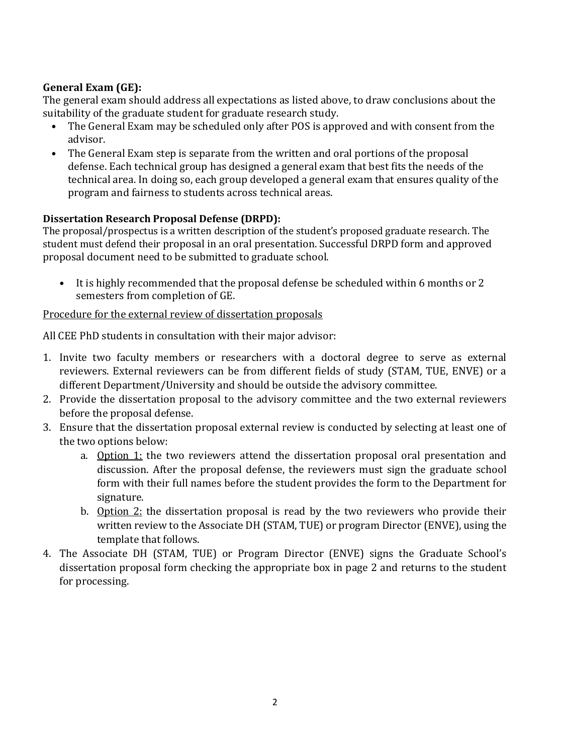## **General Exam (GE):**

The general exam should address all expectations as listed above, to draw conclusions about the suitability of the graduate student for graduate research study.

- The General Exam may be scheduled only after POS is approved and with consent from the advisor.
- The General Exam step is separate from the written and oral portions of the proposal defense. Each technical group has designed a general exam that best fits the needs of the technical area. In doing so, each group developed a general exam that ensures quality of the program and fairness to students across technical areas.

### **Dissertation Research Proposal Defense (DRPD):**

The proposal/prospectus is a written description of the student's proposed graduate research. The student must defend their proposal in an oral presentation. Successful DRPD form and approved proposal document need to be submitted to graduate school.

• It is highly recommended that the proposal defense be scheduled within 6 months or 2 semesters from completion of GE.

### Procedure for the external review of dissertation proposals

All CEE PhD students in consultation with their major advisor:

- 1. Invite two faculty members or researchers with a doctoral degree to serve as external reviewers. External reviewers can be from different fields of study (STAM, TUE, ENVE) or a different Department/University and should be outside the advisory committee.
- 2. Provide the dissertation proposal to the advisory committee and the two external reviewers before the proposal defense.
- 3. Ensure that the dissertation proposal external review is conducted by selecting at least one of the two options below:
	- a. Option 1: the two reviewers attend the dissertation proposal oral presentation and discussion. After the proposal defense, the reviewers must sign the graduate school form with their full names before the student provides the form to the Department for signature.
	- b. Option 2: the dissertation proposal is read by the two reviewers who provide their written review to the Associate DH (STAM, TUE) or program Director (ENVE), using the template that follows.
- 4. The Associate DH (STAM, TUE) or Program Director (ENVE) signs the Graduate School's dissertation proposal form checking the appropriate box in page 2 and returns to the student for processing.